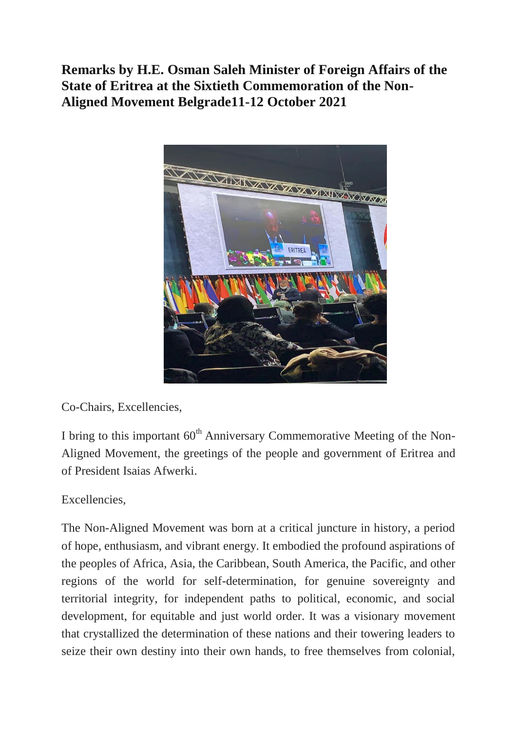## **Remarks by H.E. Osman Saleh Minister of Foreign Affairs of the State of Eritrea at the Sixtieth Commemoration of the Non-Aligned Movement Belgrade11-12 October 2021**



Co-Chairs, Excellencies,

I bring to this important  $60<sup>th</sup>$  Anniversary Commemorative Meeting of the Non-Aligned Movement, the greetings of the people and government of Eritrea and of President Isaias Afwerki.

Excellencies,

The Non-Aligned Movement was born at a critical juncture in history, a period of hope, enthusiasm, and vibrant energy. It embodied the profound aspirations of the peoples of Africa, Asia, the Caribbean, South America, the Pacific, and other regions of the world for self-determination, for genuine sovereignty and territorial integrity, for independent paths to political, economic, and social development, for equitable and just world order. It was a visionary movement that crystallized the determination of these nations and their towering leaders to seize their own destiny into their own hands, to free themselves from colonial,